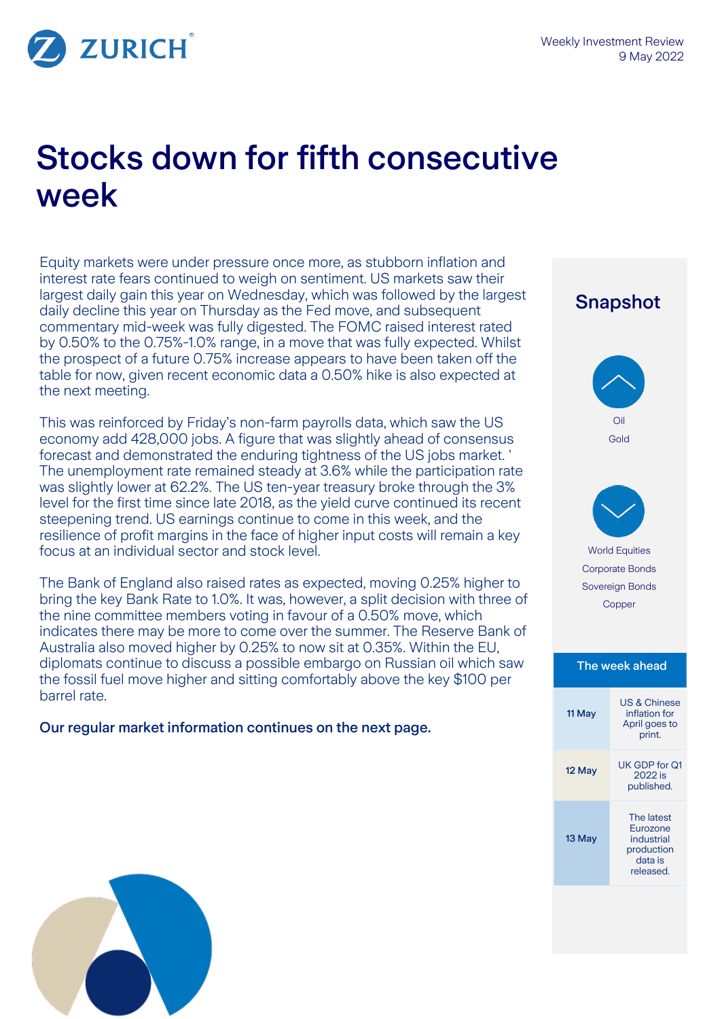

ZURICH

# Stocks down for fifth consecutive week

Equity markets were under pressure once more, as stubborn inflation and interest rate fears continued to weigh on sentiment. US markets saw their largest daily gain this year on Wednesday, which was followed by the largest daily decline this year on Thursday as the Fed move, and subsequent commentary mid-week was fully digested. The FOMC raised interest rated by 0.50% to the 0.75%-1.0% range, in a move that was fully expected. Whilst the prospect of a future 0.75% increase appears to have been taken off the table for now, given recent economic data a 0.50% hike is also expected at the next meeting.

This was reinforced by Friday's non-farm payrolls data, which saw the US economy add 428,000 jobs. A figure that was slightly ahead of consensus forecast and demonstrated the enduring tightness of the US jobs market. ' The unemployment rate remained steady at 3.6% while the participation rate was slightly lower at 62.2%. The US ten-year treasury broke through the 3% level for the first time since late 2018, as the yield curve continued its recent steepening trend. US earnings continue to come in this week, and the resilience of profit margins in the face of higher input costs will remain a key focus at an individual sector and stock level.

The Bank of England also raised rates as expected, moving 0.25% higher to bring the key Bank Rate to 1.0%. It was, however, a split decision with three of the nine committee members voting in favour of a 0.50% move, which indicates there may be more to come over the summer. The Reserve Bank of Australia also moved higher by 0.25% to now sit at 0.35%. Within the EU, diplomats continue to discuss a possible embargo on Russian oil which saw the fossil fuel move higher and sitting comfortably above the key \$100 per barrel rate.

Our regular market information continues on the next page.

 Snapshot Oil Gold World Equities Corporate Bonds Sovereign Bonds Copper The week ahead 11 May US & Chinese inflation for April goes to print. 12 May UK GDP for Q1 2022 is published. 13 May The latest Eurozone industrial production data is released.